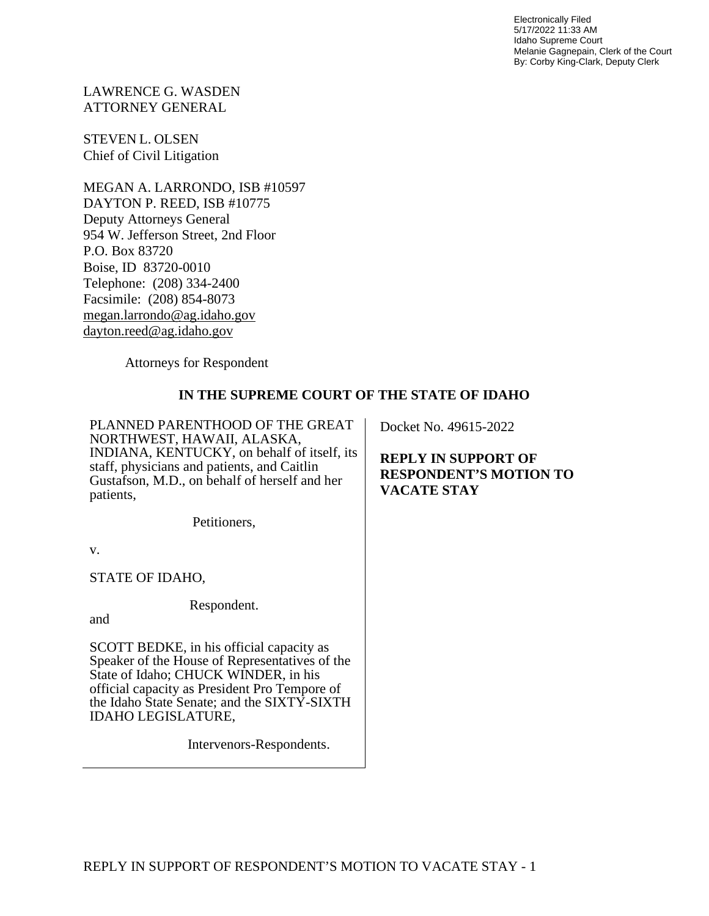Electronically Filed 5/17/2022 11:33 AM Idaho Supreme Court Melanie Gagnepain, Clerk of the Court By: Corby King-Clark, Deputy Clerk

LAWRENCE G. WASDEN ATTORNEY GENERAL

STEVEN L. OLSEN Chief of Civil Litigation

MEGAN A. LARRONDO, ISB #10597 DAYTON P. REED, ISB #10775 Deputy Attorneys General 954 W. Jefferson Street, 2nd Floor P.O. Box 83720 Boise, ID 83720-0010 Telephone: (208) 334-2400 Facsimile: (208) 854-8073 [megan.larrondo@ag.idaho.gov](mailto:megan.larrondo@ag.idaho.gov)  [dayton.reed@ag.idaho.gov](mailto:dayton.reed@ag.idaho.gov) 

Attorneys for Respondent

#### **IN THE SUPREME COURT OF THE STATE OF IDAHO**

PLANNED PARENTHOOD OF THE GREAT NORTHWEST, HAWAII, ALASKA, INDIANA, KENTUCKY, on behalf of itself, its staff, physicians and patients, and Caitlin Gustafson, M.D., on behalf of herself and her patients,

Petitioners,

v.

STATE OF IDAHO,

Respondent.

and

SCOTT BEDKE, in his official capacity as Speaker of the House of Representatives of the State of Idaho; CHUCK WINDER, in his official capacity as President Pro Tempore of the Idaho State Senate; and the SIXTY-SIXTH IDAHO LEGISLATURE,

Intervenors-Respondents.

Docket No. 49615-2022

**REPLY IN SUPPORT OF RESPONDENT'S MOTION TO VACATE STAY**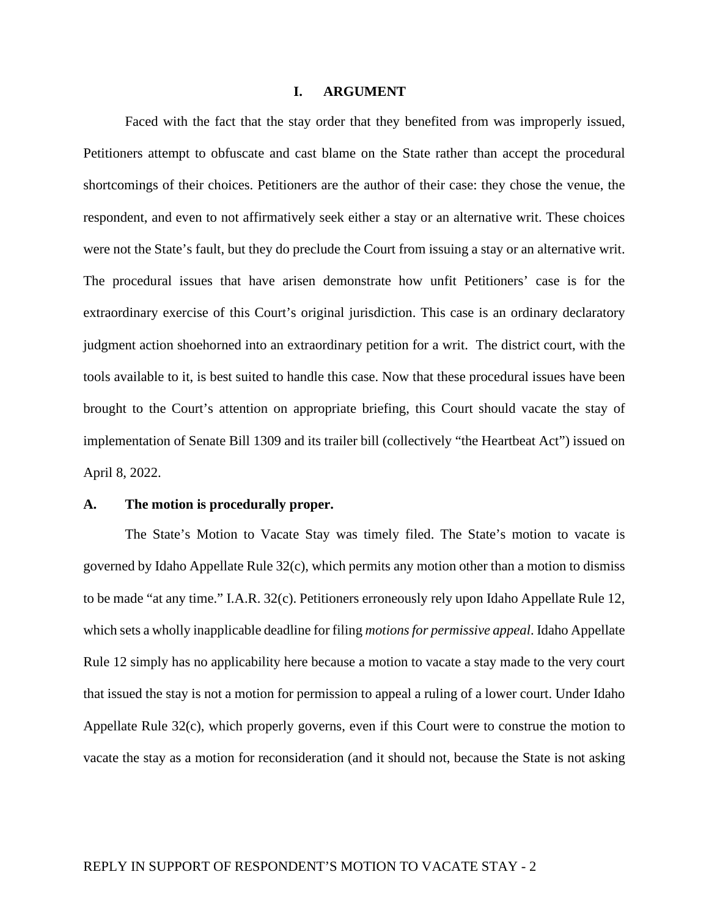#### **I. ARGUMENT**

Faced with the fact that the stay order that they benefited from was improperly issued, Petitioners attempt to obfuscate and cast blame on the State rather than accept the procedural shortcomings of their choices. Petitioners are the author of their case: they chose the venue, the respondent, and even to not affirmatively seek either a stay or an alternative writ. These choices were not the State's fault, but they do preclude the Court from issuing a stay or an alternative writ. The procedural issues that have arisen demonstrate how unfit Petitioners' case is for the extraordinary exercise of this Court's original jurisdiction. This case is an ordinary declaratory judgment action shoehorned into an extraordinary petition for a writ. The district court, with the tools available to it, is best suited to handle this case. Now that these procedural issues have been brought to the Court's attention on appropriate briefing, this Court should vacate the stay of implementation of Senate Bill 1309 and its trailer bill (collectively "the Heartbeat Act") issued on April 8, 2022.

#### **A. The motion is procedurally proper.**

The State's Motion to Vacate Stay was timely filed. The State's motion to vacate is governed by Idaho Appellate Rule 32(c), which permits any motion other than a motion to dismiss to be made "at any time." I.A.R. 32(c). Petitioners erroneously rely upon Idaho Appellate Rule 12, which sets a wholly inapplicable deadline for filing *motions for permissive appeal*. Idaho Appellate Rule 12 simply has no applicability here because a motion to vacate a stay made to the very court that issued the stay is not a motion for permission to appeal a ruling of a lower court. Under Idaho Appellate Rule 32(c), which properly governs, even if this Court were to construe the motion to vacate the stay as a motion for reconsideration (and it should not, because the State is not asking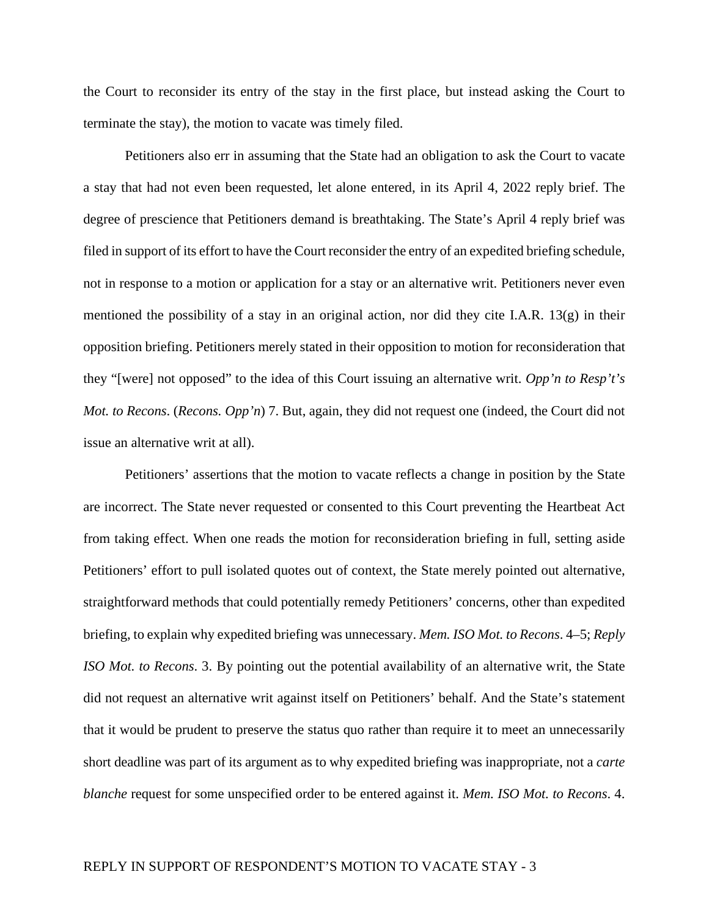the Court to reconsider its entry of the stay in the first place, but instead asking the Court to terminate the stay), the motion to vacate was timely filed.

Petitioners also err in assuming that the State had an obligation to ask the Court to vacate a stay that had not even been requested, let alone entered, in its April 4, 2022 reply brief. The degree of prescience that Petitioners demand is breathtaking. The State's April 4 reply brief was filed in support of its effort to have the Court reconsider the entry of an expedited briefing schedule, not in response to a motion or application for a stay or an alternative writ. Petitioners never even mentioned the possibility of a stay in an original action, nor did they cite I.A.R. 13 $(g)$  in their opposition briefing. Petitioners merely stated in their opposition to motion for reconsideration that they "[were] not opposed" to the idea of this Court issuing an alternative writ. *Opp'n to Resp't's Mot. to Recons*. (*Recons. Opp'n*) 7. But, again, they did not request one (indeed, the Court did not issue an alternative writ at all).

Petitioners' assertions that the motion to vacate reflects a change in position by the State are incorrect. The State never requested or consented to this Court preventing the Heartbeat Act from taking effect. When one reads the motion for reconsideration briefing in full, setting aside Petitioners' effort to pull isolated quotes out of context, the State merely pointed out alternative, straightforward methods that could potentially remedy Petitioners' concerns, other than expedited briefing, to explain why expedited briefing was unnecessary. *Mem. ISO Mot. to Recons*. 4–5; *Reply ISO Mot. to Recons*. 3. By pointing out the potential availability of an alternative writ, the State did not request an alternative writ against itself on Petitioners' behalf. And the State's statement that it would be prudent to preserve the status quo rather than require it to meet an unnecessarily short deadline was part of its argument as to why expedited briefing was inappropriate, not a *carte blanche* request for some unspecified order to be entered against it. *Mem. ISO Mot. to Recons*. 4.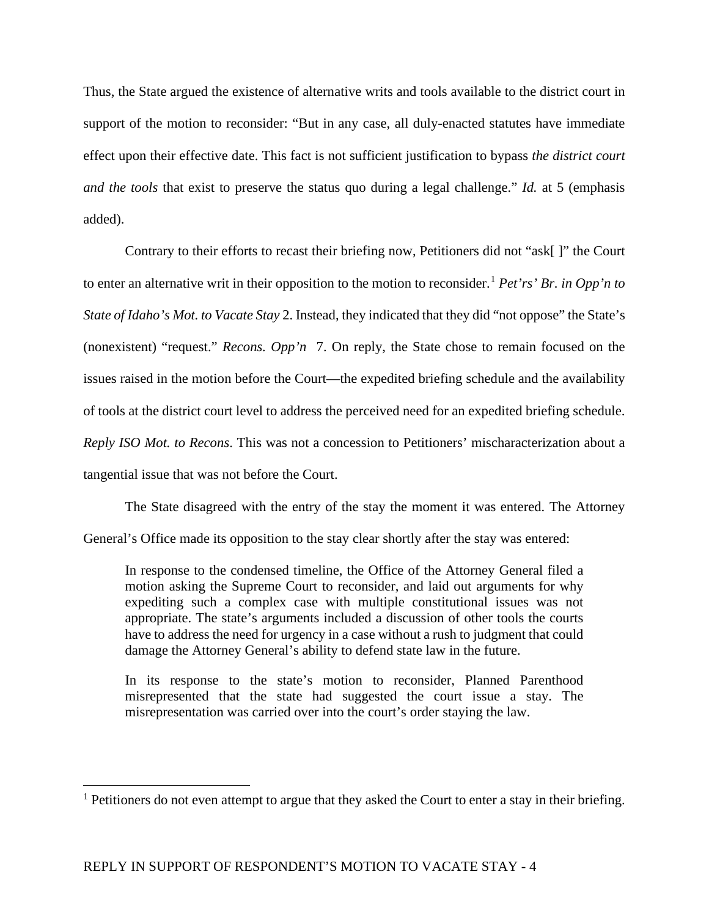Thus, the State argued the existence of alternative writs and tools available to the district court in support of the motion to reconsider: "But in any case, all duly-enacted statutes have immediate effect upon their effective date. This fact is not sufficient justification to bypass *the district court and the tools* that exist to preserve the status quo during a legal challenge." *Id.* at 5 (emphasis added).

Contrary to their efforts to recast their briefing now, Petitioners did not "ask[ ]" the Court to enter an alternative writ in their opposition to the motion to reconsider.[1](#page-3-0) *Pet'rs' Br. in Opp'n to State of Idaho's Mot. to Vacate Stay* 2. Instead, they indicated that they did "not oppose" the State's (nonexistent) "request." *Recons. Opp'n* 7. On reply, the State chose to remain focused on the issues raised in the motion before the Court—the expedited briefing schedule and the availability of tools at the district court level to address the perceived need for an expedited briefing schedule. *Reply ISO Mot. to Recons*. This was not a concession to Petitioners' mischaracterization about a tangential issue that was not before the Court.

The State disagreed with the entry of the stay the moment it was entered. The Attorney General's Office made its opposition to the stay clear shortly after the stay was entered:

In response to the condensed timeline, the Office of the Attorney General filed a motion asking the Supreme Court to reconsider, and laid out arguments for why expediting such a complex case with multiple constitutional issues was not appropriate. The state's arguments included a discussion of other tools the courts have to address the need for urgency in a case without a rush to judgment that could damage the Attorney General's ability to defend state law in the future.

In its response to the state's motion to reconsider, Planned Parenthood misrepresented that the state had suggested the court issue a stay. The misrepresentation was carried over into the court's order staying the law.

<span id="page-3-0"></span> $<sup>1</sup>$  Petitioners do not even attempt to argue that they asked the Court to enter a stay in their briefing.</sup>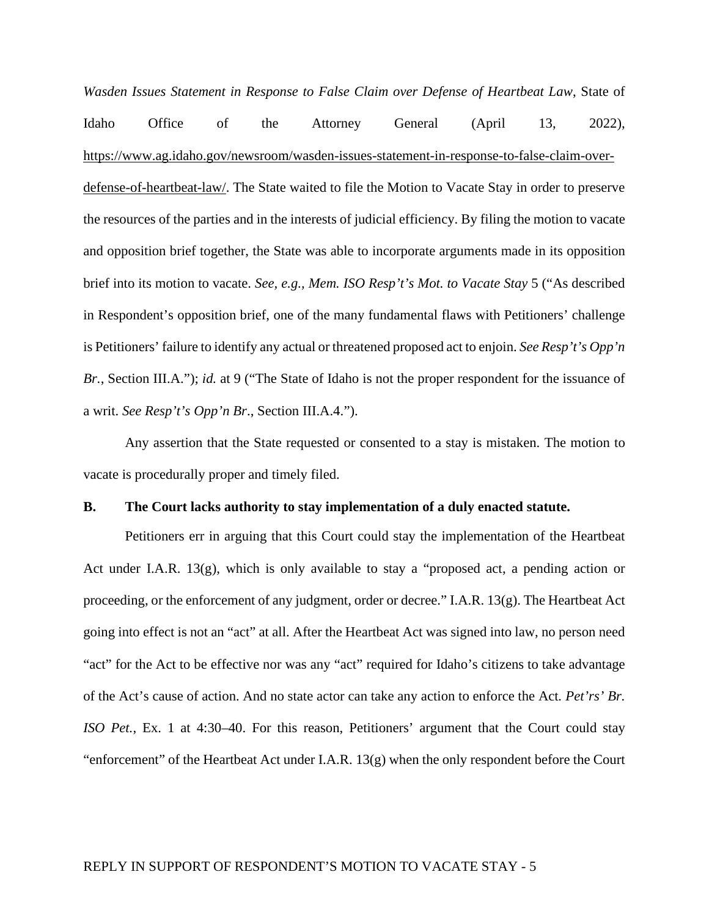*Wasden Issues Statement in Response to False Claim over Defense of Heartbeat Law*, State of Idaho Office of the Attorney General (April 13, 2022), [https://www.ag.idaho.gov/newsroom/wasden-issues-statement-in-response-to-false-claim-over](https://www.ag.idaho.gov/newsroom/wasden-issues-statement-in-response-to-false-claim-over-defense-of-heartbeat-law/)[defense-of-heartbeat-law/.](https://www.ag.idaho.gov/newsroom/wasden-issues-statement-in-response-to-false-claim-over-defense-of-heartbeat-law/) The State waited to file the Motion to Vacate Stay in order to preserve the resources of the parties and in the interests of judicial efficiency. By filing the motion to vacate and opposition brief together, the State was able to incorporate arguments made in its opposition brief into its motion to vacate. *See, e.g., Mem. ISO Resp't's Mot. to Vacate Stay* 5 ("As described in Respondent's opposition brief, one of the many fundamental flaws with Petitioners' challenge is Petitioners' failure to identify any actual or threatened proposed act to enjoin. *See Resp't's Opp'n Br.*, Section III.A."); *id.* at 9 ("The State of Idaho is not the proper respondent for the issuance of a writ. *See Resp't's Opp'n Br*., Section III.A.4.").

Any assertion that the State requested or consented to a stay is mistaken. The motion to vacate is procedurally proper and timely filed.

#### **B. The Court lacks authority to stay implementation of a duly enacted statute.**

Petitioners err in arguing that this Court could stay the implementation of the Heartbeat Act under I.A.R. 13(g), which is only available to stay a "proposed act, a pending action or proceeding, or the enforcement of any judgment, order or decree." I.A.R. 13(g). The Heartbeat Act going into effect is not an "act" at all. After the Heartbeat Act was signed into law, no person need "act" for the Act to be effective nor was any "act" required for Idaho's citizens to take advantage of the Act's cause of action. And no state actor can take any action to enforce the Act*. Pet'rs' Br. ISO Pet.*, Ex. 1 at 4:30–40. For this reason, Petitioners' argument that the Court could stay "enforcement" of the Heartbeat Act under I.A.R. 13(g) when the only respondent before the Court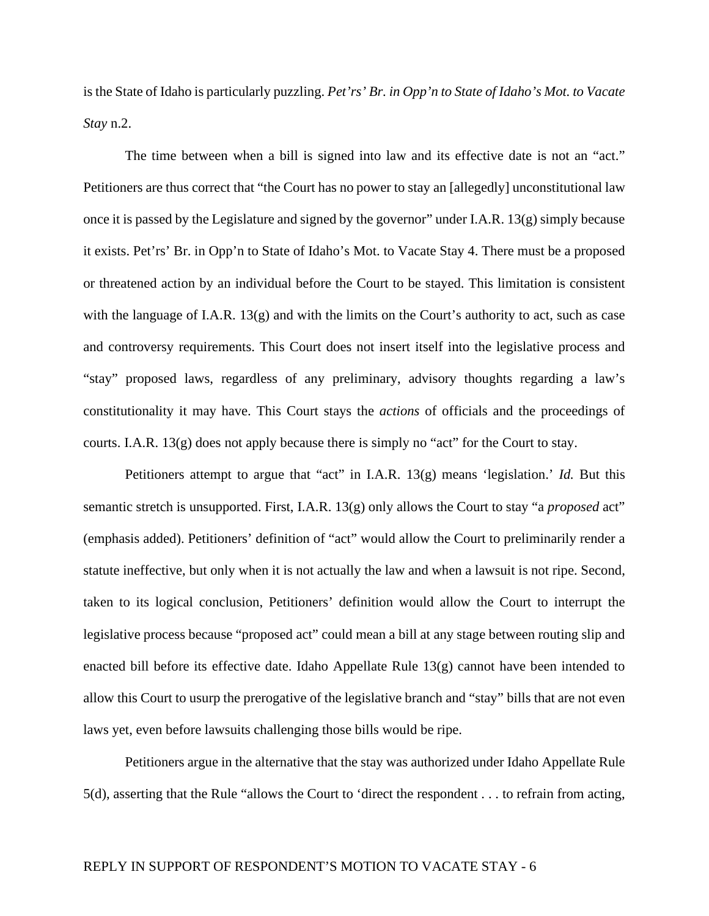is the State of Idaho is particularly puzzling. *Pet'rs' Br. in Opp'n to State of Idaho's Mot. to Vacate Stay* n.2.

The time between when a bill is signed into law and its effective date is not an "act." Petitioners are thus correct that "the Court has no power to stay an [allegedly] unconstitutional law once it is passed by the Legislature and signed by the governor" under I.A.R. 13(g) simply because it exists. Pet'rs' Br. in Opp'n to State of Idaho's Mot. to Vacate Stay 4. There must be a proposed or threatened action by an individual before the Court to be stayed. This limitation is consistent with the language of I.A.R.  $13(g)$  and with the limits on the Court's authority to act, such as case and controversy requirements. This Court does not insert itself into the legislative process and "stay" proposed laws, regardless of any preliminary, advisory thoughts regarding a law's constitutionality it may have. This Court stays the *actions* of officials and the proceedings of courts. I.A.R. 13(g) does not apply because there is simply no "act" for the Court to stay.

Petitioners attempt to argue that "act" in I.A.R. 13(g) means 'legislation.' *Id.* But this semantic stretch is unsupported. First, I.A.R. 13(g) only allows the Court to stay "a *proposed* act" (emphasis added). Petitioners' definition of "act" would allow the Court to preliminarily render a statute ineffective, but only when it is not actually the law and when a lawsuit is not ripe. Second, taken to its logical conclusion, Petitioners' definition would allow the Court to interrupt the legislative process because "proposed act" could mean a bill at any stage between routing slip and enacted bill before its effective date. Idaho Appellate Rule  $13(g)$  cannot have been intended to allow this Court to usurp the prerogative of the legislative branch and "stay" bills that are not even laws yet, even before lawsuits challenging those bills would be ripe.

Petitioners argue in the alternative that the stay was authorized under Idaho Appellate Rule 5(d), asserting that the Rule "allows the Court to 'direct the respondent . . . to refrain from acting,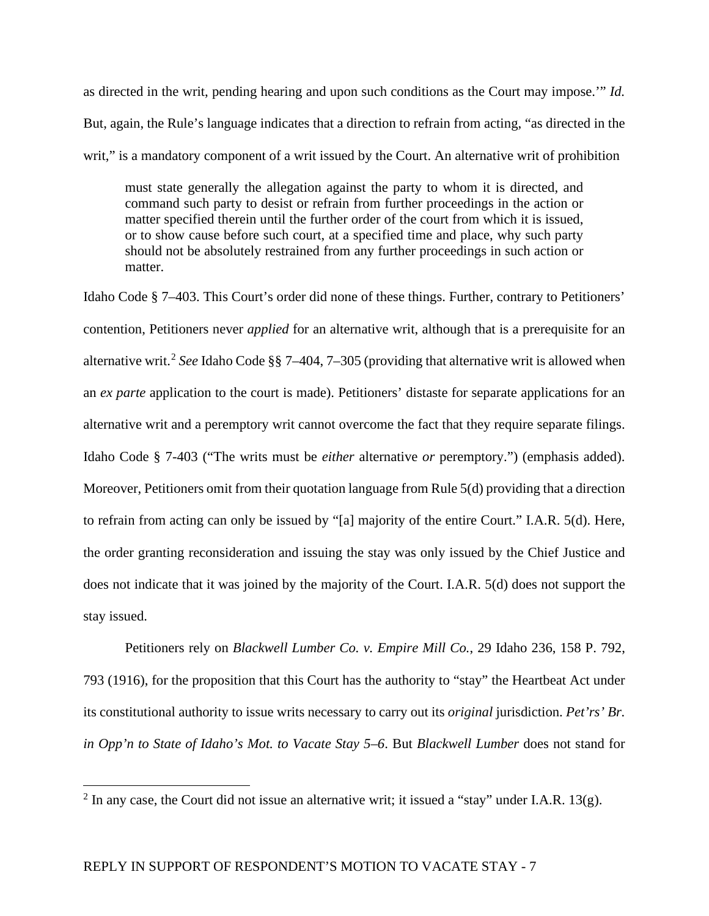as directed in the writ, pending hearing and upon such conditions as the Court may impose.'" *Id.* But, again, the Rule's language indicates that a direction to refrain from acting, "as directed in the writ," is a mandatory component of a writ issued by the Court. An alternative writ of prohibition

must state generally the allegation against the party to whom it is directed, and command such party to desist or refrain from further proceedings in the action or matter specified therein until the further order of the court from which it is issued, or to show cause before such court, at a specified time and place, why such party should not be absolutely restrained from any further proceedings in such action or matter.

Idaho Code § 7–403. This Court's order did none of these things. Further, contrary to Petitioners' contention, Petitioners never *applied* for an alternative writ, although that is a prerequisite for an alternative writ.<sup>[2](#page-6-0)</sup> See Idaho Code §§ 7–404, 7–305 (providing that alternative writ is allowed when an *ex parte* application to the court is made). Petitioners' distaste for separate applications for an alternative writ and a peremptory writ cannot overcome the fact that they require separate filings. Idaho Code § 7-403 ("The writs must be *either* alternative *or* peremptory.") (emphasis added). Moreover, Petitioners omit from their quotation language from Rule 5(d) providing that a direction to refrain from acting can only be issued by "[a] majority of the entire Court." I.A.R. 5(d). Here, the order granting reconsideration and issuing the stay was only issued by the Chief Justice and does not indicate that it was joined by the majority of the Court. I.A.R. 5(d) does not support the stay issued.

Petitioners rely on *Blackwell Lumber Co. v. Empire Mill Co.*, 29 Idaho 236, 158 P. 792, 793 (1916), for the proposition that this Court has the authority to "stay" the Heartbeat Act under its constitutional authority to issue writs necessary to carry out its *original* jurisdiction. *Pet'rs' Br. in Opp'n to State of Idaho's Mot. to Vacate Stay 5–6*. But *Blackwell Lumber* does not stand for

<span id="page-6-0"></span><sup>&</sup>lt;sup>2</sup> In any case, the Court did not issue an alternative writ; it issued a "stay" under I.A.R. 13(g).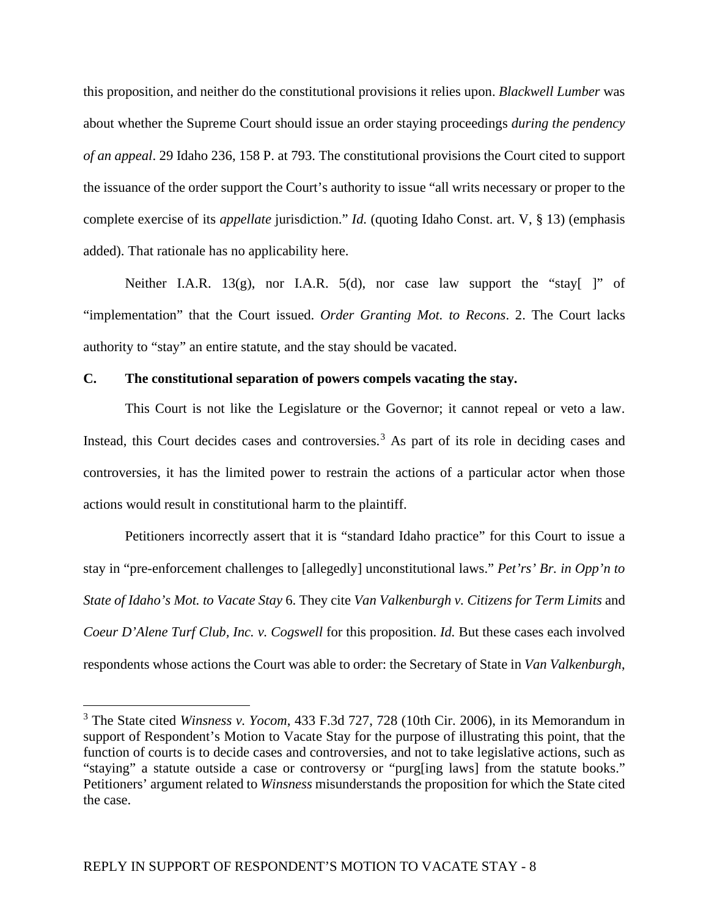this proposition, and neither do the constitutional provisions it relies upon. *Blackwell Lumber* was about whether the Supreme Court should issue an order staying proceedings *during the pendency of an appeal*. 29 Idaho 236, 158 P. at 793. The constitutional provisions the Court cited to support the issuance of the order support the Court's authority to issue "all writs necessary or proper to the complete exercise of its *appellate* jurisdiction." *Id.* (quoting Idaho Const. art. V, § 13) (emphasis added). That rationale has no applicability here.

Neither I.A.R. 13(g), nor I.A.R. 5(d), nor case law support the "stay[ ]" of "implementation" that the Court issued. *Order Granting Mot. to Recons*. 2. The Court lacks authority to "stay" an entire statute, and the stay should be vacated.

#### **C. The constitutional separation of powers compels vacating the stay.**

This Court is not like the Legislature or the Governor; it cannot repeal or veto a law. Instead, this Court decides cases and controversies.<sup>[3](#page-7-0)</sup> As part of its role in deciding cases and controversies, it has the limited power to restrain the actions of a particular actor when those actions would result in constitutional harm to the plaintiff.

Petitioners incorrectly assert that it is "standard Idaho practice" for this Court to issue a stay in "pre-enforcement challenges to [allegedly] unconstitutional laws." *Pet'rs' Br. in Opp'n to State of Idaho's Mot. to Vacate Stay* 6. They cite *Van Valkenburgh v. Citizens for Term Limits* and *Coeur D'Alene Turf Club, Inc. v. Cogswell* for this proposition. *Id.* But these cases each involved respondents whose actions the Court was able to order: the Secretary of State in *Van Valkenburgh*,

<span id="page-7-0"></span><sup>3</sup> The State cited *Winsness v. Yocom*, 433 F.3d 727, 728 (10th Cir. 2006), in its Memorandum in support of Respondent's Motion to Vacate Stay for the purpose of illustrating this point, that the function of courts is to decide cases and controversies, and not to take legislative actions, such as "staying" a statute outside a case or controversy or "purg[ing laws] from the statute books." Petitioners' argument related to *Winsness* misunderstands the proposition for which the State cited the case.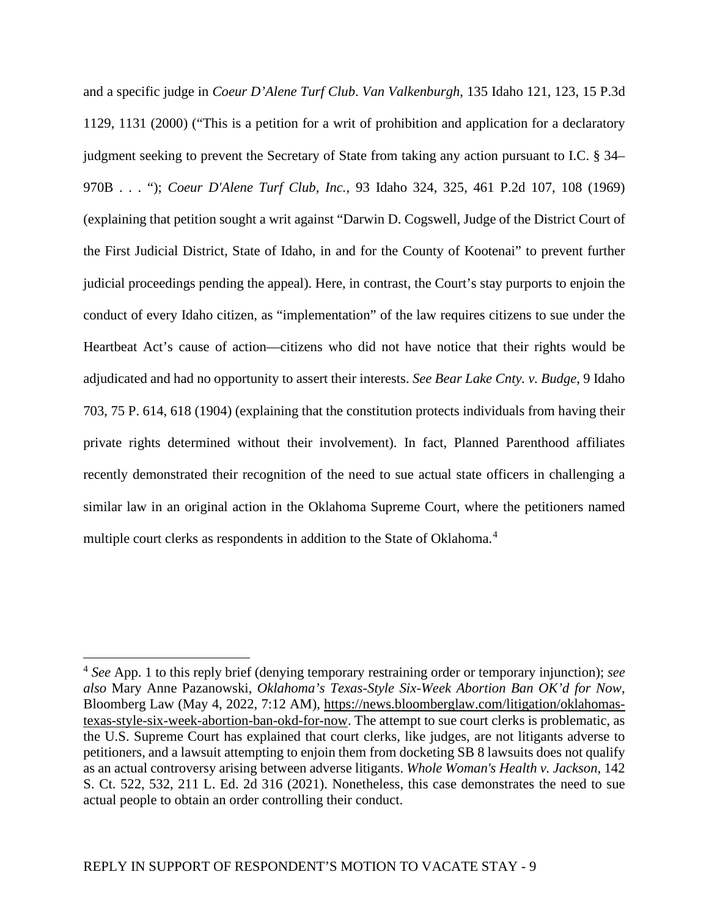and a specific judge in *Coeur D'Alene Turf Club*. *Van Valkenburgh*, 135 Idaho 121, 123, 15 P.3d 1129, 1131 (2000) ("This is a petition for a writ of prohibition and application for a declaratory judgment seeking to prevent the Secretary of State from taking any action pursuant to I.C. § 34– 970B . . . "); *Coeur D'Alene Turf Club, Inc.*, 93 Idaho 324, 325, 461 P.2d 107, 108 (1969) (explaining that petition sought a writ against "Darwin D. Cogswell, Judge of the District Court of the First Judicial District, State of Idaho, in and for the County of Kootenai" to prevent further judicial proceedings pending the appeal). Here, in contrast, the Court's stay purports to enjoin the conduct of every Idaho citizen, as "implementation" of the law requires citizens to sue under the Heartbeat Act's cause of action—citizens who did not have notice that their rights would be adjudicated and had no opportunity to assert their interests. *See Bear Lake Cnty. v. Budge*, 9 Idaho 703, 75 P. 614, 618 (1904) (explaining that the constitution protects individuals from having their private rights determined without their involvement). In fact, Planned Parenthood affiliates recently demonstrated their recognition of the need to sue actual state officers in challenging a similar law in an original action in the Oklahoma Supreme Court, where the petitioners named multiple court clerks as respondents in addition to the State of Oklahoma.<sup>[4](#page-8-0)</sup>

<span id="page-8-0"></span><sup>4</sup> *See* App. 1 to this reply brief (denying temporary restraining order or temporary injunction); *see also* Mary Anne Pazanowski, *Oklahoma's Texas-Style Six-Week Abortion Ban OK'd for Now*, Bloomberg Law (May 4, 2022, 7:12 AM), [https://news.bloomberglaw.com/litigation/oklahomas](https://news.bloomberglaw.com/litigation/oklahomas-texas-style-six-week-abortion-ban-okd-for-now)[texas-style-six-week-abortion-ban-okd-for-now.](https://news.bloomberglaw.com/litigation/oklahomas-texas-style-six-week-abortion-ban-okd-for-now) The attempt to sue court clerks is problematic, as the U.S. Supreme Court has explained that court clerks, like judges, are not litigants adverse to petitioners, and a lawsuit attempting to enjoin them from docketing SB 8 lawsuits does not qualify as an actual controversy arising between adverse litigants. *Whole Woman's Health v. Jackson*, 142 S. Ct. 522, 532, 211 L. Ed. 2d 316 (2021). Nonetheless, this case demonstrates the need to sue actual people to obtain an order controlling their conduct.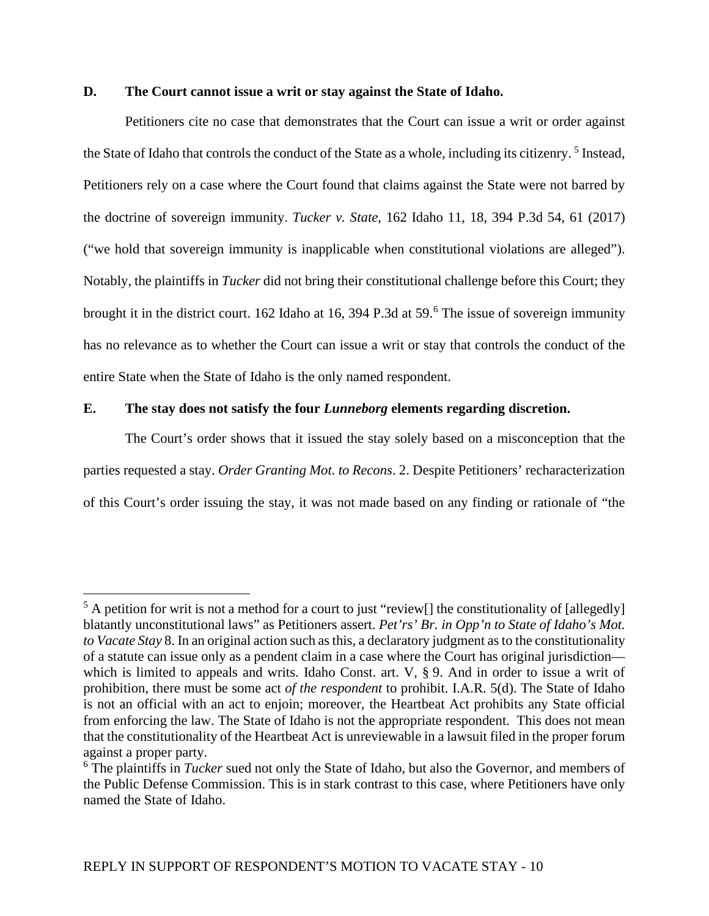#### **D. The Court cannot issue a writ or stay against the State of Idaho.**

Petitioners cite no case that demonstrates that the Court can issue a writ or order against the State of Idaho that controls the conduct of the State as a whole, including its citizenry.<sup>[5](#page-9-0)</sup> Instead, Petitioners rely on a case where the Court found that claims against the State were not barred by the doctrine of sovereign immunity. *Tucker v. State*, 162 Idaho 11, 18, 394 P.3d 54, 61 (2017) ("we hold that sovereign immunity is inapplicable when constitutional violations are alleged"). Notably, the plaintiffs in *Tucker* did not bring their constitutional challenge before this Court; they brought it in the district court. 1[6](#page-9-1)2 Idaho at 16, 394 P.3d at 59.<sup>6</sup> The issue of sovereign immunity has no relevance as to whether the Court can issue a writ or stay that controls the conduct of the entire State when the State of Idaho is the only named respondent.

#### **E. The stay does not satisfy the four** *Lunneborg* **elements regarding discretion.**

The Court's order shows that it issued the stay solely based on a misconception that the parties requested a stay. *Order Granting Mot. to Recons*. 2. Despite Petitioners' recharacterization of this Court's order issuing the stay, it was not made based on any finding or rationale of "the

<span id="page-9-0"></span> $5$  A petition for writ is not a method for a court to just "review[] the constitutionality of [allegedly] blatantly unconstitutional laws" as Petitioners assert. *Pet'rs' Br. in Opp'n to State of Idaho's Mot. to Vacate Stay* 8. In an original action such as this, a declaratory judgment as to the constitutionality of a statute can issue only as a pendent claim in a case where the Court has original jurisdiction which is limited to appeals and writs. Idaho Const. art. V, § 9. And in order to issue a writ of prohibition, there must be some act *of the respondent* to prohibit. I.A.R. 5(d). The State of Idaho is not an official with an act to enjoin; moreover, the Heartbeat Act prohibits any State official from enforcing the law. The State of Idaho is not the appropriate respondent. This does not mean that the constitutionality of the Heartbeat Act is unreviewable in a lawsuit filed in the proper forum against a proper party.

<span id="page-9-1"></span><sup>6</sup> The plaintiffs in *Tucker* sued not only the State of Idaho, but also the Governor, and members of the Public Defense Commission. This is in stark contrast to this case, where Petitioners have only named the State of Idaho.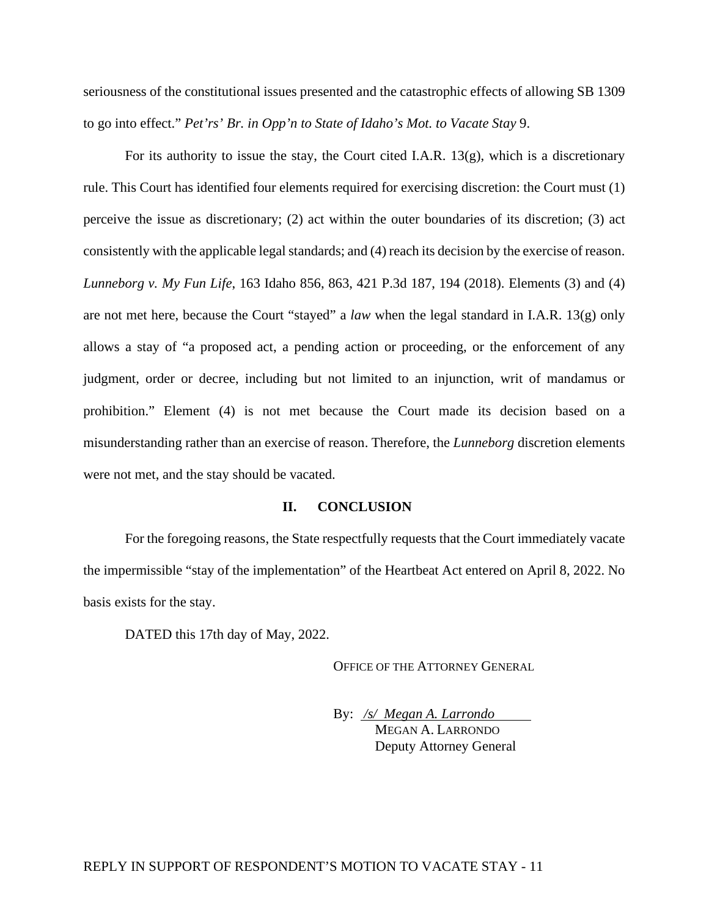seriousness of the constitutional issues presented and the catastrophic effects of allowing SB 1309 to go into effect." *Pet'rs' Br. in Opp'n to State of Idaho's Mot. to Vacate Stay* 9.

For its authority to issue the stay, the Court cited I.A.R. 13(g), which is a discretionary rule. This Court has identified four elements required for exercising discretion: the Court must (1) perceive the issue as discretionary; (2) act within the outer boundaries of its discretion; (3) act consistently with the applicable legal standards; and (4) reach its decision by the exercise of reason. *Lunneborg v. My Fun Life*, 163 Idaho 856, 863, 421 P.3d 187, 194 (2018). Elements (3) and (4) are not met here, because the Court "stayed" a *law* when the legal standard in I.A.R. 13(g) only allows a stay of "a proposed act, a pending action or proceeding, or the enforcement of any judgment, order or decree, including but not limited to an injunction, writ of mandamus or prohibition." Element (4) is not met because the Court made its decision based on a misunderstanding rather than an exercise of reason. Therefore, the *Lunneborg* discretion elements were not met, and the stay should be vacated.

#### **II. CONCLUSION**

For the foregoing reasons, the State respectfully requests that the Court immediately vacate the impermissible "stay of the implementation" of the Heartbeat Act entered on April 8, 2022. No basis exists for the stay.

DATED this 17th day of May, 2022.

OFFICE OF THE ATTORNEY GENERAL

By: */s/ Megan A. Larrondo* MEGAN A. LARRONDO Deputy Attorney General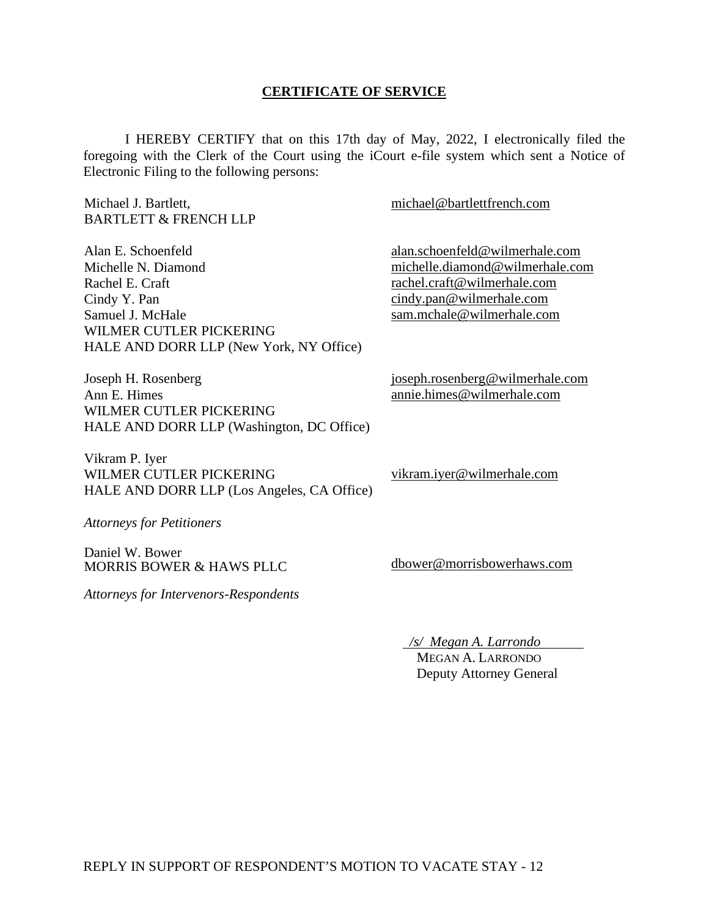#### **CERTIFICATE OF SERVICE**

I HEREBY CERTIFY that on this 17th day of May, 2022, I electronically filed the foregoing with the Clerk of the Court using the iCourt e-file system which sent a Notice of Electronic Filing to the following persons:

Michael J. Bartlett, BARTLETT & FRENCH LLP Alan E. Schoenfeld Michelle N. Diamond Rachel E. Craft Cindy Y. Pan Samuel J. McHale WILMER CUTLER PICKERING HALE AND DORR LLP (New York, NY Office) Joseph H. Rosenberg Ann E. Himes WILMER CUTLER PICKERING HALE AND DORR LLP (Washington, DC Office) Vikram P. Iyer WILMER CUTLER PICKERING HALE AND DORR LLP (Los Angeles, CA Office) *Attorneys for Petitioners* Daniel W. Bower MORRIS BOWER & HAWS PLLC [michael@bartlettfrench.com](mailto:michael@bartlettfrench.com) [alan.schoenfeld@wilmerhale.com](mailto:alan.schoenfeld@wilmerhale.com)  [michelle.diamond@wilmerhale.com](mailto:michelle.diamond@wilmerhale.com)  [rachel.craft@wilmerhale.com](mailto:rachel.craft@wilmerhale.com)  [cindy.pan@wilmerhale.com](mailto:cindy.pan@wilmerhale.com)  [sam.mchale@wilmerhale.com](mailto:sam.mchale@wilmerhale.com)  [joseph.rosenberg@wilmerhale.com](mailto:joseph.rosenberg@wilmerhale.com)  [annie.himes@wilmerhale.com](mailto:annie.himes@wilmerhale.com)  [vikram.iyer@wilmerhale.com](mailto:vikram.iyer@wilmerhale.com) [dbower@morrisbowerhaws.com](mailto:dbower@morrisbowerhaws.com) 

*Attorneys for Intervenors-Respondents* 

*/s/ Megan A. Larrondo* 

 MEGAN A. LARRONDO Deputy Attorney General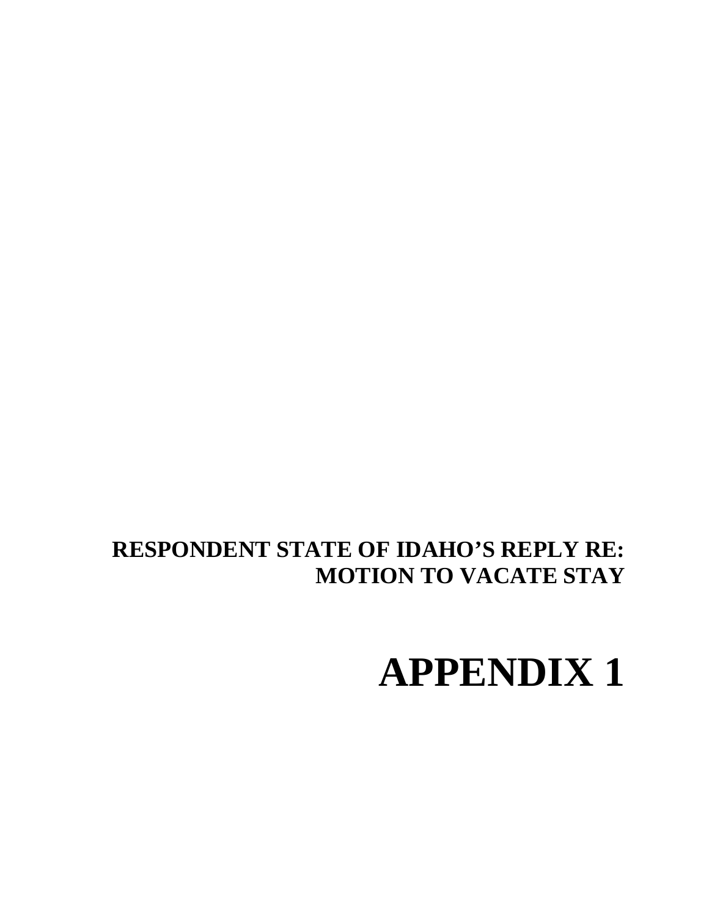# **APPENDIX 1**

## **RESPONDENT STATE OF IDAHO'S REPLY RE: MOTION TO VACATE STAY**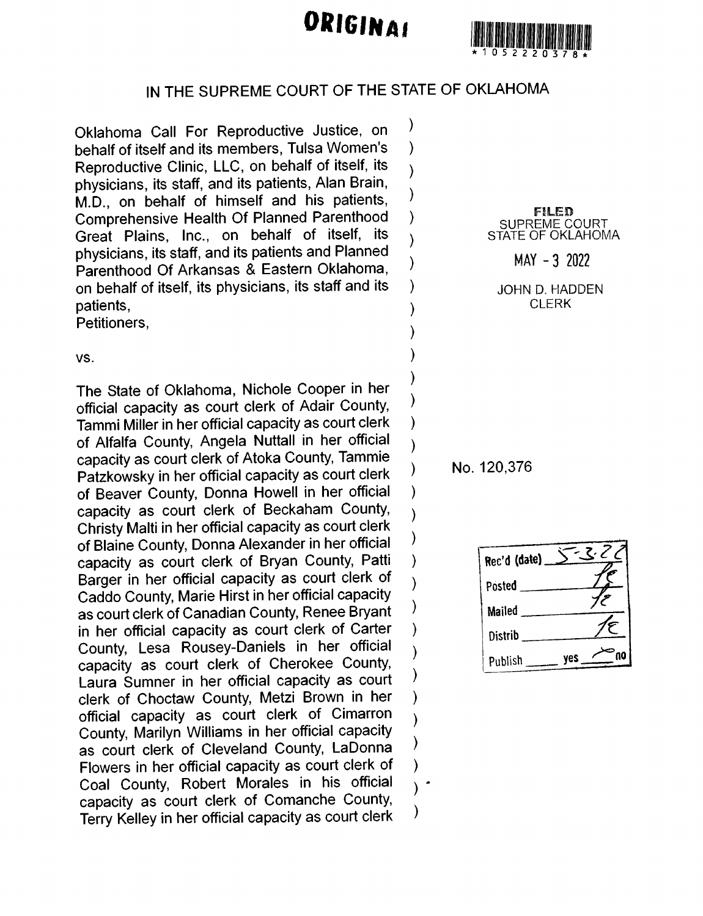# ORIGINAL



### IN THE SUPREME COURT OF THE STATE OF OKLAHOMA

 $\mathcal{Y}$ 

 $\lambda$ 

 $\lambda$ 

 $\mathcal{E}$ 

 $\lambda$ 

 $\lambda$ 

 $\mathcal{E}$ 

 $\lambda$ 

 $\mathcal{E}$ 

 $\lambda$ 

 $\lambda$ 

 $\lambda$ 

 $\mathcal{E}$ 

 $\mathcal{Y}$ 

 $\lambda$ 

 $\mathcal{E}$ 

⟩

١

Y

 $\big)$ 

 $\lambda$ 

 $\overline{\phantom{a}}$ 

 $\mathcal{E}$ 

 $\overline{\phantom{a}}$ 

 $\lambda$ 

 $\lambda$ 

Oklahoma Call For Reproductive Justice, on behalf of itself and its members. Tulsa Women's Reproductive Clinic, LLC, on behalf of itself, its physicians, its staff, and its patients, Alan Brain, M.D., on behalf of himself and his patients, Comprehensive Health Of Planned Parenthood Great Plains, Inc., on behalf of itself, its physicians, its staff, and its patients and Planned Parenthood Of Arkansas & Eastern Oklahoma. on behalf of itself, its physicians, its staff and its patients.

Petitioners.

VS.

The State of Oklahoma, Nichole Cooper in her official capacity as court clerk of Adair County, Tammi Miller in her official capacity as court clerk of Alfalfa County, Angela Nuttall in her official capacity as court clerk of Atoka County, Tammie Patzkowsky in her official capacity as court clerk of Beaver County, Donna Howell in her official capacity as court clerk of Beckaham County, Christy Malti in her official capacity as court clerk of Blaine County, Donna Alexander in her official capacity as court clerk of Bryan County, Patti Barger in her official capacity as court clerk of Caddo County, Marie Hirst in her official capacity as court clerk of Canadian County, Renee Bryant in her official capacity as court clerk of Carter County, Lesa Rousey-Daniels in her official capacity as court clerk of Cherokee County, Laura Sumner in her official capacity as court clerk of Choctaw County, Metzi Brown in her official capacity as court clerk of Cimarron County, Marilyn Williams in her official capacity as court clerk of Cleveland County, LaDonna Flowers in her official capacity as court clerk of Coal County, Robert Morales in his official capacity as court clerk of Comanche County, Terry Kelley in her official capacity as court clerk

FILED SUPREME COURT<br>STATE OF OKLAHOMA

 $MAY - 3$  2022

JOHN D. HADDEN **CLERK** 

No. 120,376

Rec'd (date) Posted Mailed Distrib n0 yes Publish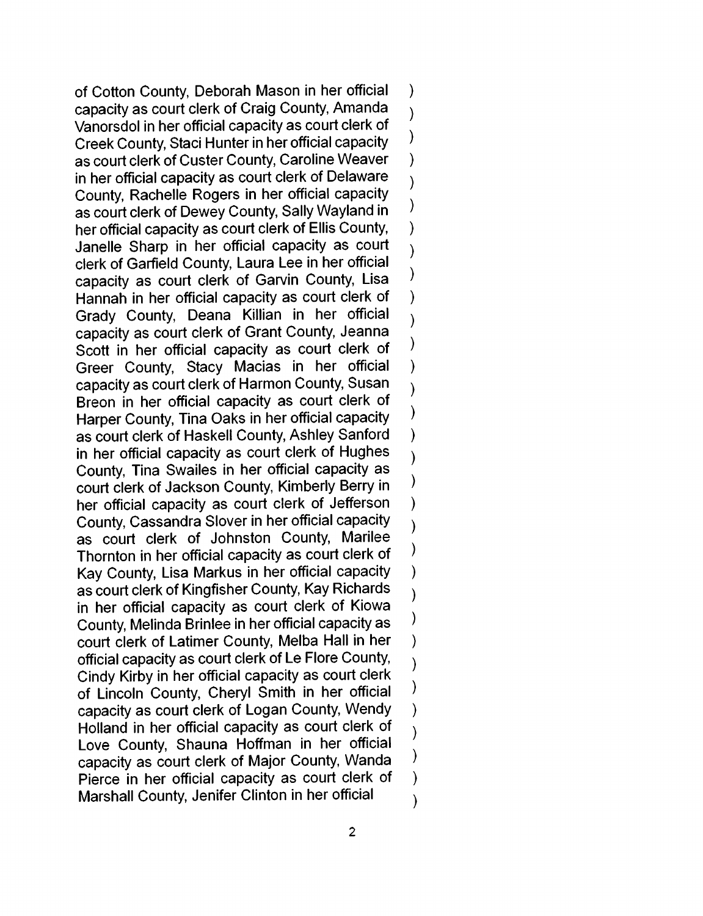of Cotton County, Deborah Mason in her official  $\lambda$ capacity as court clerk of Craig County, Amanda  $\lambda$ Vanorsdol in her official capacity as court clerk of  $\mathcal{E}$ Creek County, Staci Hunter in her official capacity as court clerk of Custer County, Caroline Weaver  $\overline{\phantom{a}}$ in her official capacity as court clerk of Delaware  $\overline{\phantom{a}}$ County, Rachelle Rogers in her official capacity  $\mathcal{E}$ as court clerk of Dewey County, Sally Wayland in her official capacity as court clerk of Ellis County.  $\lambda$ Janelle Sharp in her official capacity as court  $\lambda$ clerk of Garfield County, Laura Lee in her official  $\overline{\phantom{a}}$ capacity as court clerk of Garvin County, Lisa Hannah in her official capacity as court clerk of  $\mathcal{E}$ Grady County, Deana Killian in her official  $\overline{\phantom{a}}$ capacity as court clerk of Grant County, Jeanna  $\mathcal{)}$ Scott in her official capacity as court clerk of Greer County, Stacy Macias in her official  $\overline{\phantom{a}}$ capacity as court clerk of Harmon County, Susan  $\mathcal{E}$ Breon in her official capacity as court clerk of  $\mathcal{E}$ Harper County, Tina Oaks in her official capacity as court clerk of Haskell County, Ashley Sanford  $\lambda$ in her official capacity as court clerk of Hughes  $\lambda$ County, Tina Swailes in her official capacity as  $\lambda$ court clerk of Jackson County, Kimberly Berry in  $\lambda$ her official capacity as court clerk of Jefferson County, Cassandra Slover in her official capacity  $\lambda$ as court clerk of Johnston County, Marilee  $\mathcal{E}$ Thornton in her official capacity as court clerk of Kay County, Lisa Markus in her official capacity  $\mathcal{E}$ as court clerk of Kingfisher County, Kay Richards  $\overline{\phantom{a}}$ in her official capacity as court clerk of Kiowa  $\mathcal{Y}$ County, Melinda Brinlee in her official capacity as court clerk of Latimer County, Melba Hall in her  $\lambda$ official capacity as court clerk of Le Flore County,  $\overline{\phantom{a}}$ Cindy Kirby in her official capacity as court clerk  $\big)$ of Lincoln County, Cheryl Smith in her official  $\overline{\phantom{a}}$ capacity as court clerk of Logan County, Wendy Holland in her official capacity as court clerk of  $\overline{\phantom{a}}$ Love County, Shauna Hoffman in her official  $\mathcal{E}$ capacity as court clerk of Major County, Wanda Pierce in her official capacity as court clerk of  $\mathcal{E}$ Marshall County, Jenifer Clinton in her official  $\lambda$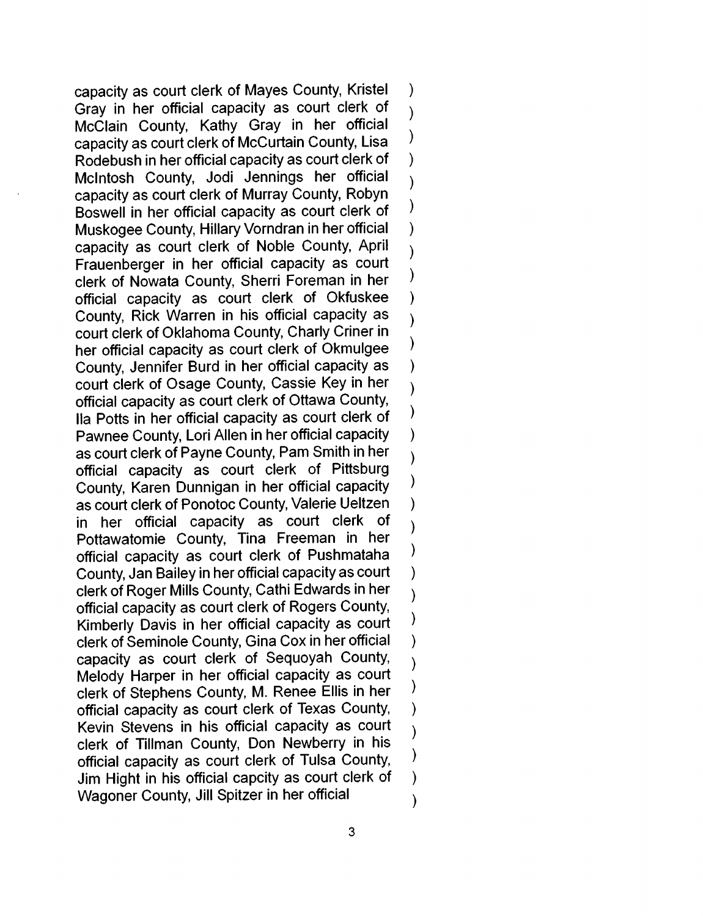capacity as court clerk of Mayes County, Kristel  $\mathcal{E}$ Gray in her official capacity as court clerk of  $\lambda$ McClain County, Kathy Gray in her official  $\mathcal{E}$ capacity as court clerk of McCurtain County, Lisa Rodebush in her official capacity as court clerk of  $\overline{\phantom{a}}$ McIntosh County, Jodi Jennings her official  $\overline{\phantom{a}}$ capacity as court clerk of Murray County, Robyn  $\mathcal{E}$ Boswell in her official capacity as court clerk of Muskogee County, Hillary Vorndran in her official  $\lambda$ capacity as court clerk of Noble County, April  $\lambda$ Frauenberger in her official capacity as court  $\lambda$ clerk of Nowata County, Sherri Foreman in her official capacity as court clerk of Okfuskee  $\lambda$ County. Rick Warren in his official capacity as  $\lambda$ court clerk of Oklahoma County, Charly Criner in  $\mathcal{E}$ her official capacity as court clerk of Okmulgee County, Jennifer Burd in her official capacity as  $\overline{\phantom{a}}$ court clerk of Osage County, Cassie Key in her official capacity as court clerk of Ottawa County,  $\mathcal{E}$ lla Potts in her official capacity as court clerk of Pawnee County, Lori Allen in her official capacity  $\mathcal{E}$ as court clerk of Payne County, Pam Smith in her  $\lambda$ official capacity as court clerk of Pittsburg  $\mathcal{E}$ County. Karen Dunnigan in her official capacity as court clerk of Ponotoc County, Valerie Ueltzen  $\lambda$ in her official capacity as court clerk of  $\lambda$ Pottawatomie County, Tina Freeman in her  $\lambda$ official capacity as court clerk of Pushmataha County, Jan Bailey in her official capacity as court  $\mathcal{E}$ clerk of Roger Mills County, Cathi Edwards in her  $\lambda$ official capacity as court clerk of Rogers County,  $\mathcal{Y}$ Kimberly Davis in her official capacity as court clerk of Seminole County, Gina Cox in her official  $\lambda$ capacity as court clerk of Sequoyah County,  $\mathcal{E}$ Melody Harper in her official capacity as court  $\mathcal{E}$ clerk of Stephens County, M. Renee Ellis in her  $\lambda$ official capacity as court clerk of Texas County, Kevin Stevens in his official capacity as court  $\lambda$ clerk of Tillman County, Don Newberry in his  $\mathcal{E}$ official capacity as court clerk of Tulsa County, Jim Hight in his official capcity as court clerk of  $\mathcal{Y}$ Wagoner County, Jill Spitzer in her official  $\lambda$